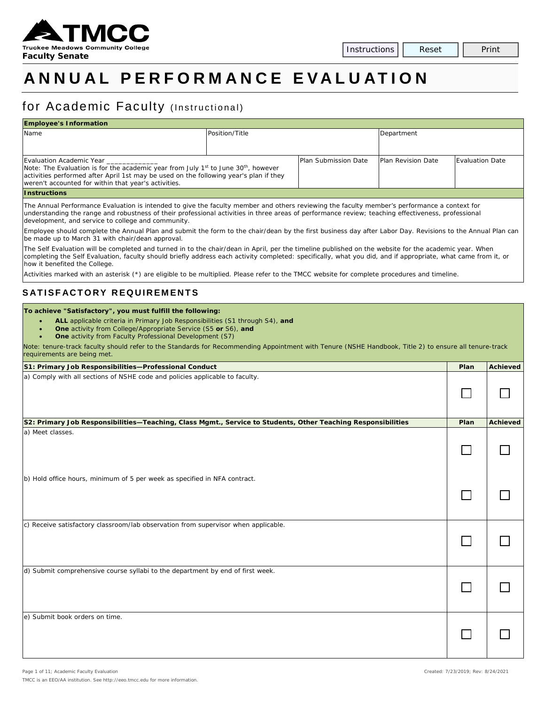

# **ANNUAL PERFORMANCE E VALUATION**

# for Academic Faculty (Instructional)

| <b>Employee's Information</b>                                                                                                                                                                                                                                                 |                |                      |                           |                        |  |  |  |
|-------------------------------------------------------------------------------------------------------------------------------------------------------------------------------------------------------------------------------------------------------------------------------|----------------|----------------------|---------------------------|------------------------|--|--|--|
| Name                                                                                                                                                                                                                                                                          | Position/Title |                      | Department                |                        |  |  |  |
|                                                                                                                                                                                                                                                                               |                |                      |                           |                        |  |  |  |
| Evaluation Academic Year<br>Note: The Evaluation is for the academic year from July $1st$ to June 30 <sup>th</sup> , however<br>activities performed after April 1st may be used on the following year's plan if they<br>weren't accounted for within that year's activities. |                | Plan Submission Date | <b>Plan Revision Date</b> | <b>Evaluation Date</b> |  |  |  |
| <b>Instructions</b>                                                                                                                                                                                                                                                           |                |                      |                           |                        |  |  |  |

The Annual Performance Evaluation is intended to give the faculty member and others reviewing the faculty member's performance a context for understanding the range and robustness of their professional activities in three areas of performance review; teaching effectiveness, professional development, and service to college and community.

Employee should complete the Annual Plan and submit the form to the chair/dean by the first business day after Labor Day. Revisions to the Annual Plan can be made up to March 31 with chair/dean approval.

The Self Evaluation will be completed and turned in to the chair/dean in April, per the timeline published on the website for the academic year. When completing the Self Evaluation, faculty should briefly address each activity completed: specifically, what you did, and if appropriate, what came from it, or how it benefited the College.

Activities marked with an asterisk (\*) are eligible to be multiplied. Please refer to the TMCC website for complete procedures and timeline.

#### **SATISFACTORY REQUIREMENTS**

#### **To achieve "Satisfactory", you must fulfill the following:**

- **ALL** applicable criteria in Primary Job Responsibilities (S1 through S4), *and*
	- **One** activity from College/Appropriate Service (S5 *or* S6), *and*
	- **One** activity from Faculty Professional Development (S7)

*Note: tenure-track faculty should refer to the Standards for Recommending Appointment with Tenure (NSHE Handbook, Title 2) to ensure all tenure-track requirements are being met.*

| S1: Primary Job Responsibilities-Professional Conduct                                                        | Plan | <b>Achieved</b> |
|--------------------------------------------------------------------------------------------------------------|------|-----------------|
| a) Comply with all sections of NSHE code and policies applicable to faculty.                                 |      |                 |
| S2: Primary Job Responsibilities-Teaching, Class Mgmt., Service to Students, Other Teaching Responsibilities | Plan | <b>Achieved</b> |
| a) Meet classes.                                                                                             |      |                 |
| b) Hold office hours, minimum of 5 per week as specified in NFA contract.                                    |      |                 |
| c) Receive satisfactory classroom/lab observation from supervisor when applicable.                           |      |                 |
| d) Submit comprehensive course syllabi to the department by end of first week.                               |      |                 |
| e) Submit book orders on time.                                                                               |      |                 |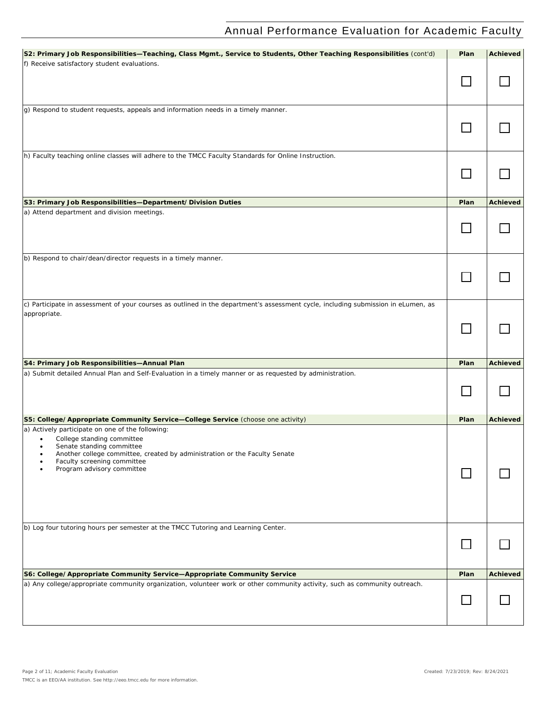| S2: Primary Job Responsibilities-Teaching, Class Mgmt., Service to Students, Other Teaching Responsibilities (cont'd)             | Plan   | <b>Achieved</b> |
|-----------------------------------------------------------------------------------------------------------------------------------|--------|-----------------|
| f) Receive satisfactory student evaluations.                                                                                      |        |                 |
|                                                                                                                                   |        |                 |
|                                                                                                                                   |        |                 |
| g) Respond to student requests, appeals and information needs in a timely manner.                                                 |        |                 |
|                                                                                                                                   |        |                 |
|                                                                                                                                   |        |                 |
|                                                                                                                                   |        |                 |
| h) Faculty teaching online classes will adhere to the TMCC Faculty Standards for Online Instruction.                              |        |                 |
|                                                                                                                                   |        |                 |
|                                                                                                                                   | $\Box$ |                 |
|                                                                                                                                   |        |                 |
| S3: Primary Job Responsibilities-Department/Division Duties                                                                       | Plan   | <b>Achieved</b> |
| a) Attend department and division meetings.                                                                                       |        |                 |
|                                                                                                                                   |        |                 |
|                                                                                                                                   |        |                 |
|                                                                                                                                   |        |                 |
| b) Respond to chair/dean/director requests in a timely manner.                                                                    |        |                 |
|                                                                                                                                   |        |                 |
|                                                                                                                                   |        |                 |
|                                                                                                                                   |        |                 |
| c) Participate in assessment of your courses as outlined in the department's assessment cycle, including submission in eLumen, as |        |                 |
| appropriate.                                                                                                                      |        |                 |
|                                                                                                                                   | l.     |                 |
|                                                                                                                                   |        |                 |
|                                                                                                                                   |        |                 |
| S4: Primary Job Responsibilities-Annual Plan                                                                                      | Plan   | <b>Achieved</b> |
| a) Submit detailed Annual Plan and Self-Evaluation in a timely manner or as requested by administration.                          |        |                 |
|                                                                                                                                   |        |                 |
|                                                                                                                                   |        |                 |
|                                                                                                                                   |        |                 |
| S5: College/Appropriate Community Service-College Service (choose one activity)                                                   | Plan   | <b>Achieved</b> |
| a) Actively participate on one of the following:                                                                                  |        |                 |
| College standing committee                                                                                                        |        |                 |
| Senate standing committee<br>٠<br>Another college committee, created by administration or the Faculty Senate                      |        |                 |
| Faculty screening committee                                                                                                       |        |                 |
| Program advisory committee                                                                                                        |        |                 |
|                                                                                                                                   |        |                 |
|                                                                                                                                   |        |                 |
|                                                                                                                                   |        |                 |
|                                                                                                                                   |        |                 |
| b) Log four tutoring hours per semester at the TMCC Tutoring and Learning Center.                                                 |        |                 |
|                                                                                                                                   |        |                 |
|                                                                                                                                   |        |                 |
|                                                                                                                                   |        |                 |
| S6: College/Appropriate Community Service-Appropriate Community Service                                                           | Plan   | <b>Achieved</b> |
| a) Any college/appropriate community organization, volunteer work or other community activity, such as community outreach.        |        |                 |
|                                                                                                                                   |        |                 |
|                                                                                                                                   |        |                 |
|                                                                                                                                   |        |                 |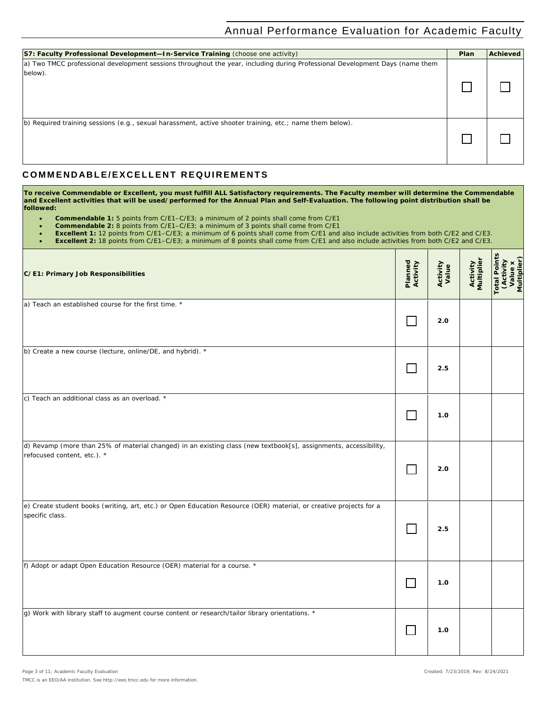| <b>S7: Faculty Professional Development-In-Service Training (choose one activity)</b>                                                   | Plan | <b>Achieved</b> |
|-----------------------------------------------------------------------------------------------------------------------------------------|------|-----------------|
| a) Two TMCC professional development sessions throughout the year, including during Professional Development Days (name them<br>below). |      |                 |
| b) Required training sessions (e.g., sexual harassment, active shooter training, etc.; name them below).                                |      |                 |

#### **C OMMENDABLE/EXCELLENT REQUIREMENTS**

**To receive Commendable or Excellent, you must fulfill ALL Satisfactory requirements. The Faculty member will determine the Commendable and Excellent activities that will be used/performed for the Annual Plan and Self-Evaluation. The following point distribution shall be followed:**

- **Commendable 1:** 5 points from C/E1–C/E3; a minimum of 2 points shall come from C/E1
- **Commendable 2:** 8 points from C/E1–C/E3; a minimum of 3 points shall come from C/E1
- **Excellent 1:** 12 points from C/E1–C/E3; a minimum of 6 points shall come from C/E1 and also include activities from both C/E2 and C/E3.

• **Excellent 2:** 18 points from C/E1–C/E3; a minimum of 8 points shall come from C/E1 and also include activities from both C/E2 and C/E3.

| C/E1: Primary Job Responsibilities                                                                                                              | Planned<br>Activity | Activity<br>Value | <b>Activity</b><br>Multiplier | <b>Total Points</b><br>(Activity<br>Value x<br>Multiplier) |
|-------------------------------------------------------------------------------------------------------------------------------------------------|---------------------|-------------------|-------------------------------|------------------------------------------------------------|
| a) Teach an established course for the first time. *                                                                                            |                     | 2.0               |                               |                                                            |
| b) Create a new course (lecture, online/DE, and hybrid). *                                                                                      |                     | 2.5               |                               |                                                            |
| c) Teach an additional class as an overload. *                                                                                                  |                     | 1.0               |                               |                                                            |
| d) Revamp (more than 25% of material changed) in an existing class (new textbook[s], assignments, accessibility,<br>refocused content, etc.). * |                     | 2.0               |                               |                                                            |
| e) Create student books (writing, art, etc.) or Open Education Resource (OER) material, or creative projects for a<br>specific class.           |                     | 2.5               |                               |                                                            |
| f) Adopt or adapt Open Education Resource (OER) material for a course. *                                                                        | $\mathcal{L}$       | 1.0               |                               |                                                            |
| g) Work with library staff to augment course content or research/tailor library orientations. *                                                 |                     | 1.0               |                               |                                                            |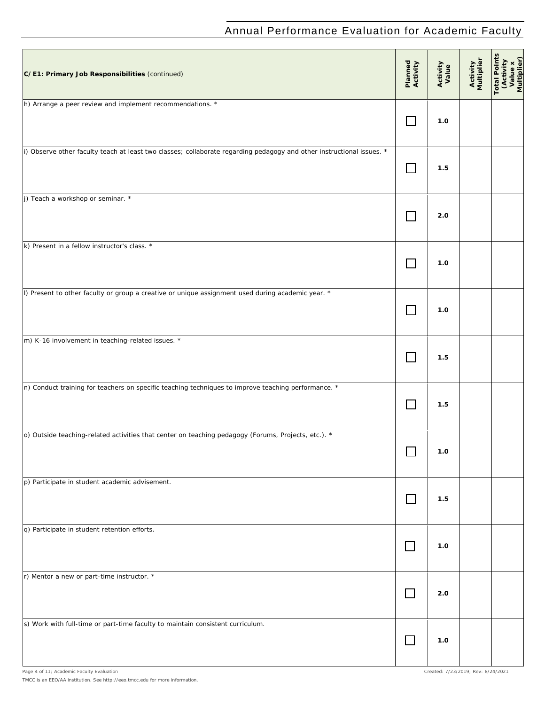| C/E1: Primary Job Responsibilities (continued)                                                                        | Planned<br>Activity | Activity<br>Value | Activity<br>Multiplier | Total Points<br>(Activity<br>Value x<br>Multiplier) |
|-----------------------------------------------------------------------------------------------------------------------|---------------------|-------------------|------------------------|-----------------------------------------------------|
| h) Arrange a peer review and implement recommendations. *                                                             |                     | 1.0               |                        |                                                     |
| i) Observe other faculty teach at least two classes; collaborate regarding pedagogy and other instructional issues. * | $\mathbf{I}$        | 1.5               |                        |                                                     |
| j) Teach a workshop or seminar. *                                                                                     |                     | 2.0               |                        |                                                     |
| k) Present in a fellow instructor's class. *                                                                          |                     | 1.0               |                        |                                                     |
| l) Present to other faculty or group a creative or unique assignment used during academic year. *                     |                     | 1.0               |                        |                                                     |
| m) K-16 involvement in teaching-related issues. *                                                                     |                     | 1.5               |                        |                                                     |
| n) Conduct training for teachers on specific teaching techniques to improve teaching performance. *                   | $\Box$              | 1.5               |                        |                                                     |
| o) Outside teaching-related activities that center on teaching pedagogy (Forums, Projects, etc.). *                   |                     | 1.0               |                        |                                                     |
| p) Participate in student academic advisement.                                                                        |                     | 1.5               |                        |                                                     |
| q) Participate in student retention efforts.                                                                          | $\Box$              | 1.0               |                        |                                                     |
| r) Mentor a new or part-time instructor. *                                                                            |                     | 2.0               |                        |                                                     |
| s) Work with full-time or part-time faculty to maintain consistent curriculum.                                        | $\Box$              | 1.0               |                        |                                                     |
|                                                                                                                       |                     |                   |                        |                                                     |

*TMCC is an EEO/AA institution. See http://eeo.tmcc.edu for more information.*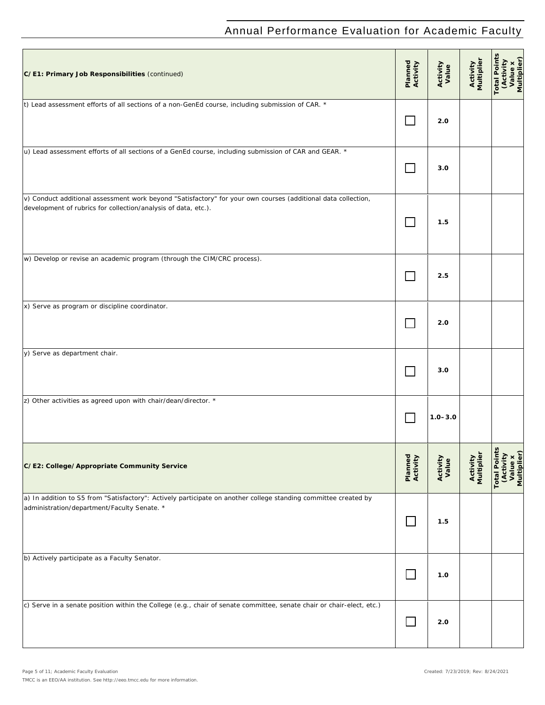| C/E1: Primary Job Responsibilities (continued)                                                                                                                                  | Planned<br>Activity         | Activity<br>Value | Activity<br>Multiplier | Total Points<br>CActivity<br>Value x<br>Multiplier)        |
|---------------------------------------------------------------------------------------------------------------------------------------------------------------------------------|-----------------------------|-------------------|------------------------|------------------------------------------------------------|
| t) Lead assessment efforts of all sections of a non-GenEd course, including submission of CAR. *                                                                                | $\sim$                      | 2.0               |                        |                                                            |
| u) Lead assessment efforts of all sections of a GenEd course, including submission of CAR and GEAR. *                                                                           | $\mathbf{I}$                | 3.0               |                        |                                                            |
| v) Conduct additional assessment work beyond "Satisfactory" for your own courses (additional data collection,<br>development of rubrics for collection/analysis of data, etc.). | <b>Tara</b>                 | 1.5               |                        |                                                            |
| w) Develop or revise an academic program (through the CIM/CRC process).                                                                                                         |                             | 2.5               |                        |                                                            |
| x) Serve as program or discipline coordinator.                                                                                                                                  |                             | 2.0               |                        |                                                            |
| y) Serve as department chair.                                                                                                                                                   | $\sim$                      | 3.0               |                        |                                                            |
| z) Other activities as agreed upon with chair/dean/director. *                                                                                                                  |                             | $1.0 - 3.0$       |                        |                                                            |
| C/E2: College/Appropriate Community Service                                                                                                                                     | Planned<br>Activity         | Activity<br>Value | Activity<br>Multiplier | <b>Total Points</b><br>(Activity<br>Value x<br>Multiplier) |
| a) In addition to S5 from "Satisfactory": Actively participate on another college standing committee created by<br>administration/department/Faculty Senate. *                  |                             | 1.5               |                        |                                                            |
| b) Actively participate as a Faculty Senator.                                                                                                                                   |                             | 1.0               |                        |                                                            |
| c) Serve in a senate position within the College (e.g., chair of senate committee, senate chair or chair-elect, etc.)                                                           | $\mathcal{L}_{\mathcal{A}}$ | 2.0               |                        |                                                            |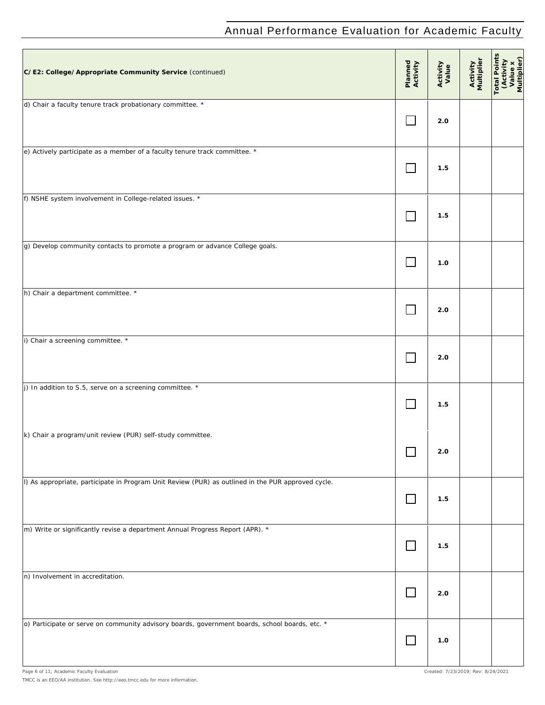| C/E2: College/Appropriate Community Service (continued)                                            | Planned<br>Activity | Activity<br>Value | Activity<br>Multiplier | Total Points<br>(Activity<br>Value x<br>Multiplier) |
|----------------------------------------------------------------------------------------------------|---------------------|-------------------|------------------------|-----------------------------------------------------|
| d) Chair a faculty tenure track probationary committee. *                                          |                     | 2.0               |                        |                                                     |
| e) Actively participate as a member of a faculty tenure track committee. *                         | $\Box$              | 1.5               |                        |                                                     |
| f) NSHE system involvement in College-related issues. *                                            | $\sim 10$           | 1.5               |                        |                                                     |
| g) Develop community contacts to promote a program or advance College goals.                       |                     | 1.0               |                        |                                                     |
| h) Chair a department committee. *                                                                 |                     | 2.0               |                        |                                                     |
| i) Chair a screening committee. *                                                                  |                     | 2.0               |                        |                                                     |
| j) In addition to S.5, serve on a screening committee. $*$                                         | $\mathbf{L}$        | 1.5               |                        |                                                     |
| k) Chair a program/unit review (PUR) self-study committee.                                         |                     | 2.0               |                        |                                                     |
| l) As appropriate, participate in Program Unit Review (PUR) as outlined in the PUR approved cycle. |                     | 1.5               |                        |                                                     |
| m) Write or significantly revise a department Annual Progress Report (APR). *                      | $\Box$              | 1.5               |                        |                                                     |
| n) Involvement in accreditation.                                                                   | $\Box$              | 2.0               |                        |                                                     |
| o) Participate or serve on community advisory boards, government boards, school boards, etc. *     |                     | 1.0               |                        |                                                     |

*TMCC is an EEO/AA institution. See http://eeo.tmcc.edu for more information.*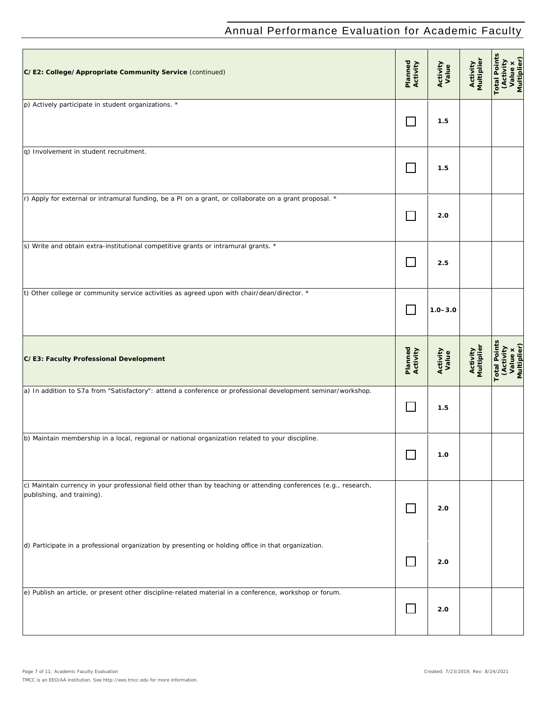| C/E2: College/Appropriate Community Service (continued)                                                                                        | Planned<br>Activity         | Activity<br>Value | Activity<br>Multiplier | <b>Total Points</b><br>(Activity<br>Value x<br>Multiplier) |
|------------------------------------------------------------------------------------------------------------------------------------------------|-----------------------------|-------------------|------------------------|------------------------------------------------------------|
| p) Actively participate in student organizations. *                                                                                            |                             | 1.5               |                        |                                                            |
| q) Involvement in student recruitment.                                                                                                         | $\mathcal{L}_{\mathcal{A}}$ | 1.5               |                        |                                                            |
| r) Apply for external or intramural funding, be a PI on a grant, or collaborate on a grant proposal. *                                         | $\sim$                      | 2.0               |                        |                                                            |
| s) Write and obtain extra-institutional competitive grants or intramural grants. *                                                             | $\mathbf{L}$                | 2.5               |                        |                                                            |
| t) Other college or community service activities as agreed upon with chair/dean/director. *                                                    |                             | $1.0 - 3.0$       |                        |                                                            |
| C/E3: Faculty Professional Development                                                                                                         | Planned<br>Activity         | Activity<br>Value | Activity<br>Multiplier | <b>Total Points</b><br>(Activity<br>Value x<br>Multiplier) |
| a) In addition to S7a from "Satisfactory": attend a conference or professional development seminar/workshop.                                   | $\Box$                      | 1.5               |                        |                                                            |
| b) Maintain membership in a local, regional or national organization related to your discipline.                                               |                             | 1.0               |                        |                                                            |
| c) Maintain currency in your professional field other than by teaching or attending conferences (e.g., research,<br>publishing, and training). | $\Box$                      | 2.0               |                        |                                                            |
| d) Participate in a professional organization by presenting or holding office in that organization.                                            | $\Box$                      | 2.0               |                        |                                                            |
| e) Publish an article, or present other discipline-related material in a conference, workshop or forum.                                        | $\mathcal{L}_{\mathcal{A}}$ | 2.0               |                        |                                                            |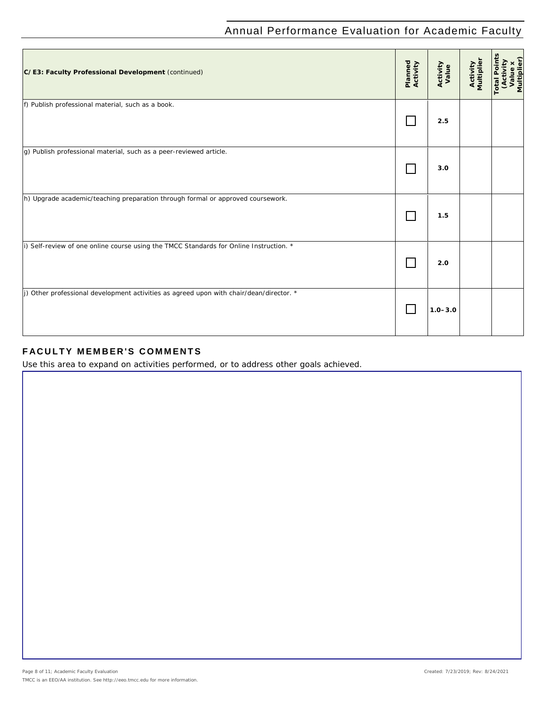| C/E3: Faculty Professional Development (continued)                                             | Planned<br>Activity | Activity<br>Value | <b>Activity</b><br>Multiplier | (Activity<br>Value x<br>Multiplier)<br><b>Total Point</b> |
|------------------------------------------------------------------------------------------------|---------------------|-------------------|-------------------------------|-----------------------------------------------------------|
| f) Publish professional material, such as a book.                                              |                     | 2.5               |                               |                                                           |
| g) Publish professional material, such as a peer-reviewed article.                             |                     | 3.0               |                               |                                                           |
| h) Upgrade academic/teaching preparation through formal or approved coursework.                |                     | 1.5               |                               |                                                           |
| i) Self-review of one online course using the TMCC Standards for Online Instruction. *         |                     | 2.0               |                               |                                                           |
| $\mu$ ) Other professional development activities as agreed upon with chair/dean/director. $*$ |                     | $1.0 - 3.0$       |                               |                                                           |

### **FACULTY MEMBER'S COM MENTS**

*Use this area to expand on activities performed, or to address other goals achieved.*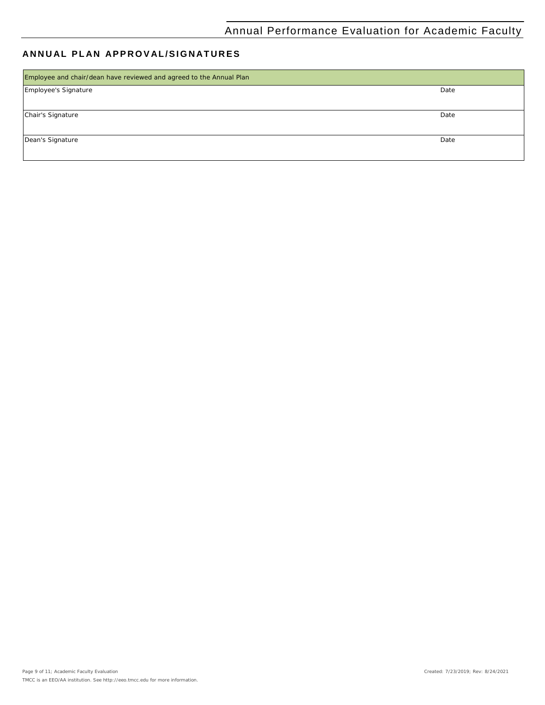#### **ANNUAL PLAN APPROVAL /SIGNATURES**

| Employee and chair/dean have reviewed and agreed to the Annual Plan |      |
|---------------------------------------------------------------------|------|
| Employee's Signature                                                | Date |
|                                                                     |      |
| Chair's Signature                                                   | Date |
|                                                                     |      |
| Dean's Signature                                                    | Date |
|                                                                     |      |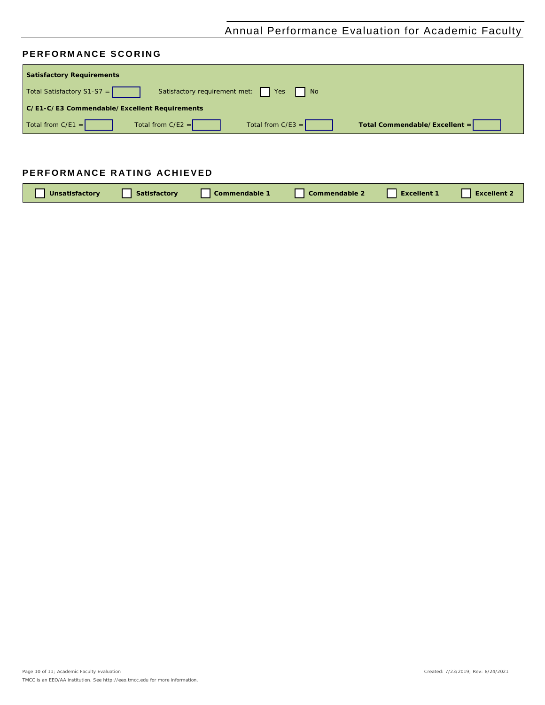#### **PERFORMANCE SCORING**

| <b>Satisfactory Requirements</b>                                       |                               |
|------------------------------------------------------------------------|-------------------------------|
| Satisfactory requirement met:   Yes   No<br>Total Satisfactory S1-S7 = |                               |
| C/E1-C/E3 Commendable/Excellent Requirements                           |                               |
| Total from $C/E1 =$<br>Total from $C/E2 =$<br>Total from $C/E3 =$      | Total Commendable/Excellent = |

### **PERFORMANCE RATING ACHIEVED**

| <b>Unsatisfactory</b> | Satisfactory | Commendable 1 | <b>Commendable 2</b> | <b>Excellent 1</b> | <b>Excellent 2</b> |
|-----------------------|--------------|---------------|----------------------|--------------------|--------------------|
|                       |              |               |                      |                    |                    |